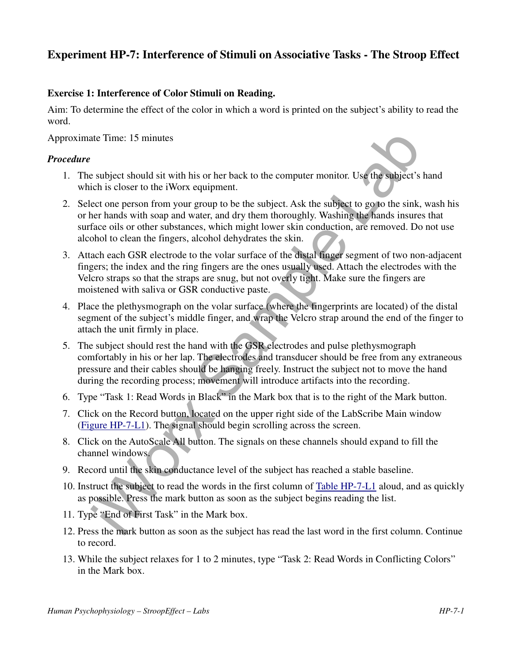# **Experiment HP-7: Interference of Stimuli on Associative Tasks - The Stroop Effect**

#### **Exercise 1: Interference of Color Stimuli on Reading.**

Aim: To determine the effect of the color in which a word is printed on the subject's ability to read the word.

Approximate Time: 15 minutes

#### *Procedure*

- 1. The subject should sit with his or her back to the computer monitor. Use the subject's hand which is closer to the iWorx equipment.
- 2. Select one person from your group to be the subject. Ask the subject to go to the sink, wash his or her hands with soap and water, and dry them thoroughly. Washing the hands insures that surface oils or other substances, which might lower skin conduction, are removed. Do not use alcohol to clean the fingers, alcohol dehydrates the skin.
- 3. Attach each GSR electrode to the volar surface of the distal finger segment of two non-adjacent fingers; the index and the ring fingers are the ones usually used. Attach the electrodes with the Velcro straps so that the straps are snug, but not overly tight. Make sure the fingers are moistened with saliva or GSR conductive paste.
- 4. Place the plethysmograph on the volar surface (where the fingerprints are located) of the distal segment of the subject's middle finger, and wrap the Velcro strap around the end of the finger to attach the unit firmly in place.
- ate Time: 15 minutes<br>subject should sit with his or her back to the computer monitor. Use the subject's<br>chien is closer to the iWorx equipment.<br>the marging to be the subject Ask the subject of proper solver that is close t 5. The subject should rest the hand with the GSR electrodes and pulse plethysmograph comfortably in his or her lap. The electrodes and transducer should be free from any extraneous pressure and their cables should be hanging freely. Instruct the subject not to move the hand during the recording process; movement will introduce artifacts into the recording.
- 6. Type "Task 1: Read Words in Black" in the Mark box that is to the right of the Mark button.
- 7. Click on the Record button, located on the upper right side of the LabScribe Main window (Figure HP-7-L1). The signal should begin scrolling across the screen.
- 8. Click on the AutoScale All button. The signals on these channels should expand to fill the channel windows.
- 9. Record until the skin conductance level of the subject has reached a stable baseline.
- 10. Instruct the subject to read the words in the first column of Table HP-7-L1 aloud, and as quickly as possible. Press the mark button as soon as the subject begins reading the list.
- 11. Type "End of First Task" in the Mark box.
- 12. Press the mark button as soon as the subject has read the last word in the first column. Continue to record.
- 13. While the subject relaxes for 1 to 2 minutes, type "Task 2: Read Words in Conflicting Colors" in the Mark box.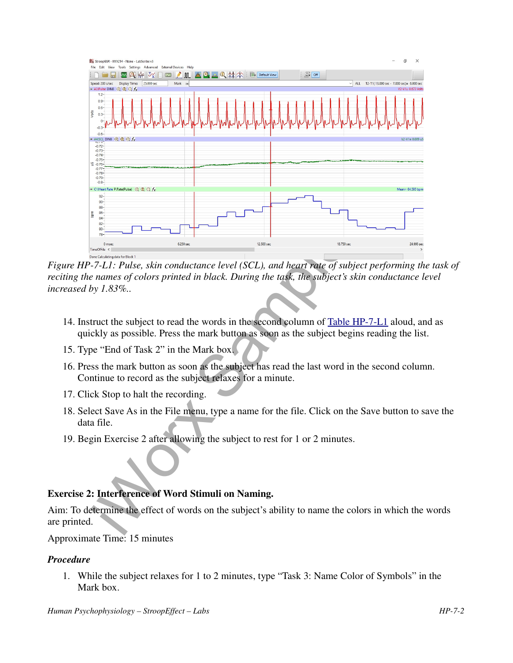

*Figure HP-7-L1: Pulse, skin conductance level (SCL), and heart rate of subject performing the task of reciting the names of colors printed in black. During the task, the subject's skin conductance level increased by 1.83%..*

- 14. Instruct the subject to read the words in the second column of Table HP-7-L1 aloud, and as quickly as possible. Press the mark button as soon as the subject begins reading the list.
- 15. Type "End of Task 2" in the Mark box.
- 16. Press the mark button as soon as the subject has read the last word in the second column. Continue to record as the subject relaxes for a minute.
- 17. Click Stop to halt the recording.
- 18. Select Save As in the File menu, type a name for the file. Click on the Save button to save the data file.
- 19. Begin Exercise 2 after allowing the subject to rest for 1 or 2 minutes.

## **Exercise 2: Interference of Word Stimuli on Naming.**

Aim: To determine the effect of words on the subject's ability to name the colors in which the words are printed.

#### Approximate Time: 15 minutes

#### *Procedure*

1. While the subject relaxes for 1 to 2 minutes, type "Task 3: Name Color of Symbols" in the Mark box.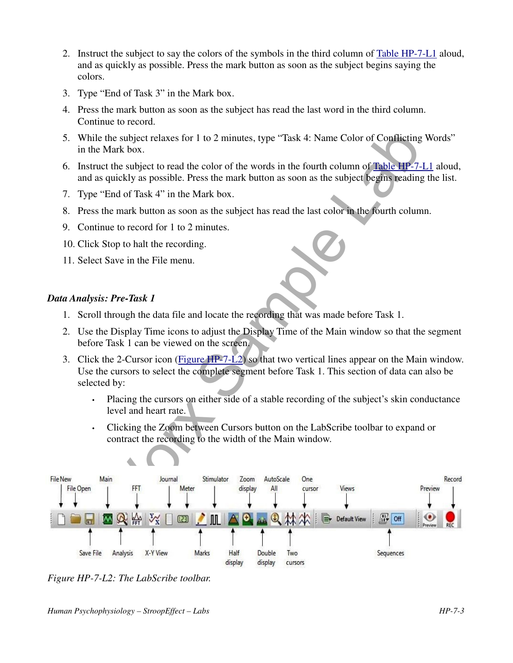- 2. Instruct the subject to say the colors of the symbols in the third column of Table HP-7-L1 aloud, and as quickly as possible. Press the mark button as soon as the subject begins saying the colors.
- 3. Type "End of Task 3" in the Mark box.
- 4. Press the mark button as soon as the subject has read the last word in the third column. Continue to record.
- 5. While the subject relaxes for 1 to 2 minutes, type "Task 4: Name Color of Conflicting Words" in the Mark box.
- 6. Instruct the subject to read the color of the words in the fourth column of Table HP-7-L1 aloud, and as quickly as possible. Press the mark button as soon as the subject begins reading the list.
- 7. Type "End of Task 4" in the Mark box.
- 8. Press the mark button as soon as the subject has read the last color in the fourth column.
- 9. Continue to record for 1 to 2 minutes.
- 10. Click Stop to halt the recording.
- 11. Select Save in the File menu.

### *Data Analysis: Pre-Task 1*

- 1. Scroll through the data file and locate the recording that was made before Task 1.
- 2. Use the Display Time icons to adjust the Display Time of the Main window so that the segment before Task 1 can be viewed on the screen.
- 3. Click the 2-Cursor icon (Figure HP-7-L2) so that two vertical lines appear on the Main window. Use the cursors to select the complete segment before Task 1. This section of data can also be selected by:
	- Placing the cursors on either side of a stable recording of the subject's skin conductance level and heart rate.
	- Clicking the Zoom between Cursors button on the LabScribe toolbar to expand or contract the recording to the width of the Main window.



*Figure HP-7-L2: The LabScribe toolbar.*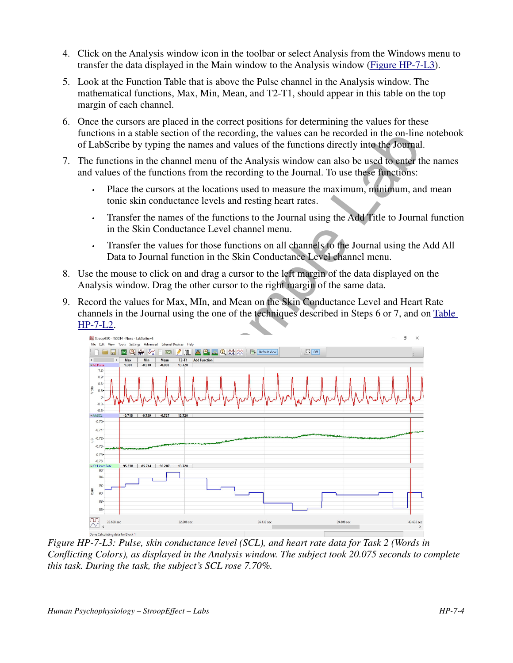- 4. Click on the Analysis window icon in the toolbar or select Analysis from the Windows menu to transfer the data displayed in the Main window to the Analysis window (Figure HP-7-L3).
- 5. Look at the Function Table that is above the Pulse channel in the Analysis window. The mathematical functions, Max, Min, Mean, and T2-T1, should appear in this table on the top margin of each channel.
- 6. Once the cursors are placed in the correct positions for determining the values for these functions in a stable section of the recording, the values can be recorded in the on-line notebook of LabScribe by typing the names and values of the functions directly into the Journal.
- 7. The functions in the channel menu of the Analysis window can also be used to enter the names and values of the functions from the recording to the Journal. To use these functions:
	- Place the cursors at the locations used to measure the maximum, minimum, and mean tonic skin conductance levels and resting heart rates.
	- Transfer the names of the functions to the Journal using the Add Title to Journal function in the Skin Conductance Level channel menu.
	- Transfer the values for those functions on all channels to the Journal using the Add All Data to Journal function in the Skin Conductance Level channel menu.
- 8. Use the mouse to click on and drag a cursor to the left margin of the data displayed on the Analysis window. Drag the other cursor to the right margin of the same data.
- 9. Record the values for Max, MIn, and Mean on the Skin Conductance Level and Heart Rate channels in the Journal using the one of the techniques described in Steps 6 or 7, and on Table HP-7-L2.



*Figure HP-7-L3: Pulse, skin conductance level (SCL), and heart rate data for Task 2 (Words in Conflicting Colors), as displayed in the Analysis window. The subject took 20.075 seconds to complete this task. During the task, the subject's SCL rose 7.70%.*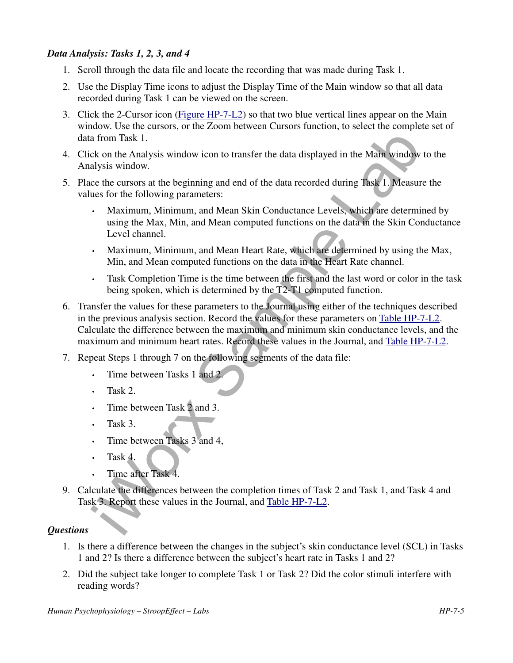## *Data Analysis: Tasks 1, 2, 3, and 4*

- 1. Scroll through the data file and locate the recording that was made during Task 1.
- 2. Use the Display Time icons to adjust the Display Time of the Main window so that all data recorded during Task 1 can be viewed on the screen.
- 3. Click the 2-Cursor icon (Figure HP-7-L2) so that two blue vertical lines appear on the Main window. Use the cursors, or the Zoom between Cursors function, to select the complete set of data from Task 1.
- 4. Click on the Analysis window icon to transfer the data displayed in the Main window to the Analysis window.
- 5. Place the cursors at the beginning and end of the data recorded during Task 1. Measure the values for the following parameters:
	- Maximum, Minimum, and Mean Skin Conductance Levels, which are determined by using the Max, Min, and Mean computed functions on the data in the Skin Conductance Level channel.
	- Maximum, Minimum, and Mean Heart Rate, which are determined by using the Max, Min, and Mean computed functions on the data in the Heart Rate channel.
	- Task Completion Time is the time between the first and the last word or color in the task being spoken, which is determined by the T2-T1 computed function.
- move the ethn can be a state of the state of the state of the state of the state of the state of the State of the Main window is a from Task 1. We are the toerapy sign window.<br>
Sample State State of the data recorded durin 6. Transfer the values for these parameters to the Journal using either of the techniques described in the previous analysis section. Record the values for these parameters on Table HP-7-L2. Calculate the difference between the maximum and minimum skin conductance levels, and the maximum and minimum heart rates. Record these values in the Journal, and Table HP-7-L2.
- 7. Repeat Steps 1 through 7 on the following segments of the data file:
	- Time between Tasks 1 and 2.
	- Task 2.
	- Time between Task 2 and 3.
	- Task 3.
	- Time between Tasks 3 and 4,
	- $\cdot$  Task 4.
	- Time after Task 4.
- 9. Calculate the differences between the completion times of Task 2 and Task 1, and Task 4 and Task 3. Report these values in the Journal, and Table HP-7-L2.

#### *Questions*

- 1. Is there a difference between the changes in the subject's skin conductance level (SCL) in Tasks 1 and 2? Is there a difference between the subject's heart rate in Tasks 1 and 2?
- 2. Did the subject take longer to complete Task 1 or Task 2? Did the color stimuli interfere with reading words?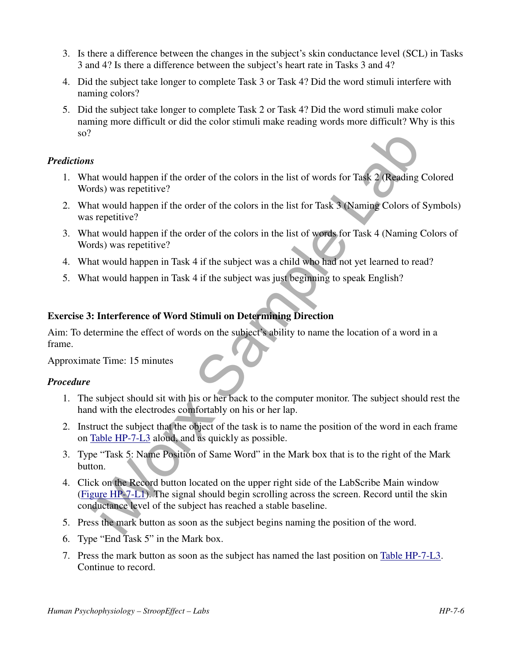- 3. Is there a difference between the changes in the subject's skin conductance level (SCL) in Tasks 3 and 4? Is there a difference between the subject's heart rate in Tasks 3 and 4?
- 4. Did the subject take longer to complete Task 3 or Task 4? Did the word stimuli interfere with naming colors?
- 5. Did the subject take longer to complete Task 2 or Task 4? Did the word stimuli make color naming more difficult or did the color stimuli make reading words more difficult? Why is this so?

#### *Predictions*

- 1. What would happen if the order of the colors in the list of words for Task 2 (Reading Colored Words) was repetitive?
- 2. What would happen if the order of the colors in the list for Task 3 (Naming Colors of Symbols) was repetitive?
- 3. What would happen if the order of the colors in the list of words for Task 4 (Naming Colors of Words) was repetitive?
- 4. What would happen in Task 4 if the subject was a child who had not yet learned to read?
- 5. What would happen in Task 4 if the subject was just beginning to speak English?

#### **Exercise 3: Interference of Word Stimuli on Determining Direction**

Aim: To determine the effect of words on the subject's ability to name the location of a word in a frame.

Approximate Time: 15 minutes

#### *Procedure*

- 1. The subject should sit with his or her back to the computer monitor. The subject should rest the hand with the electrodes comfortably on his or her lap.
- 2. Instruct the subject that the object of the task is to name the position of the word in each frame on Table HP-7-L3 aloud, and as quickly as possible.
- 3. Type "Task 5: Name Position of Same Word" in the Mark box that is to the right of the Mark button.
- s<br>at would happen if the order of the colors in the list of words for Task 2 (Reading<br>radio was repetitive?<br>it would happen if the order of the colors in the list for Task 3 (Naming Colors of<br>streetwitte?)<br>at would happen 4. Click on the Record button located on the upper right side of the LabScribe Main window (Figure HP-7-L1). The signal should begin scrolling across the screen. Record until the skin conductance level of the subject has reached a stable baseline.
- 5. Press the mark button as soon as the subject begins naming the position of the word.
- 6. Type "End Task 5" in the Mark box.
- 7. Press the mark button as soon as the subject has named the last position on Table HP-7-L3. Continue to record.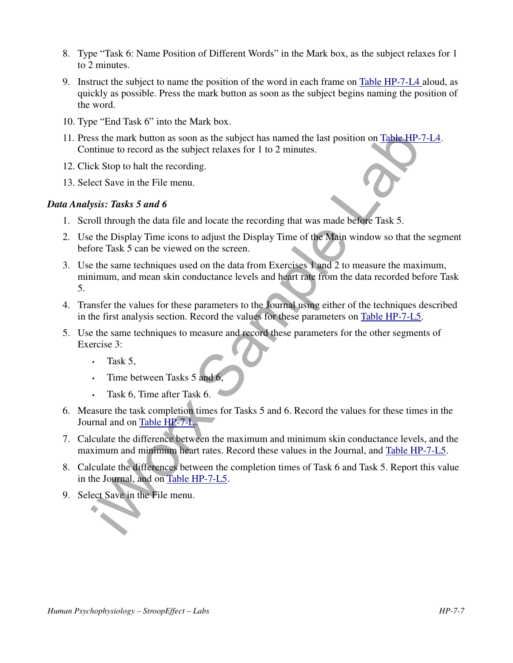- 8. Type "Task 6: Name Position of Different Words" in the Mark box, as the subject relaxes for 1 to 2 minutes.
- 9. Instruct the subject to name the position of the word in each frame on Table HP-7-L4 aloud, as quickly as possible. Press the mark button as soon as the subject begins naming the position of the word.
- 10. Type "End Task 6" into the Mark box.
- 11. Press the mark button as soon as the subject has named the last position on Table HP-7-L4. Continue to record as the subject relaxes for 1 to 2 minutes.
- 12. Click Stop to halt the recording.
- 13. Select Save in the File menu.

#### *Data Analysis: Tasks 5 and 6*

- 1. Scroll through the data file and locate the recording that was made before Task 5.
- 2. Use the Display Time icons to adjust the Display Time of the Main window so that the segment before Task 5 can be viewed on the screen.
- ss the mark button as soon as the subject has named the last position on Table HP-<br>trimue to record as the subject relaxes for 1 to 2 minutes.<br>
Excels Stop to halt the recording.<br>
Stats 5 and 6 or the File menu.<br>
Stats 5 3. Use the same techniques used on the data from Exercises 1 and 2 to measure the maximum, minimum, and mean skin conductance levels and heart rate from the data recorded before Task 5.
- 4. Transfer the values for these parameters to the Journal using either of the techniques described in the first analysis section. Record the values for these parameters on Table HP-7-L5.
- 5. Use the same techniques to measure and record these parameters for the other segments of Exercise 3:
	- $\cdot$  Task 5.
	- Time between Tasks 5 and 6,
	- Task 6, Time after Task 6.
- 6. Measure the task completion times for Tasks 5 and 6. Record the values for these times in the Journal and on Table HP-7-L.
- 7. Calculate the difference between the maximum and minimum skin conductance levels, and the maximum and minimum heart rates. Record these values in the Journal, and Table HP-7-L5.
- 8. Calculate the differences between the completion times of Task 6 and Task 5. Report this value in the Journal, and on Table HP-7-L5.
- 9. Select Save in the File menu.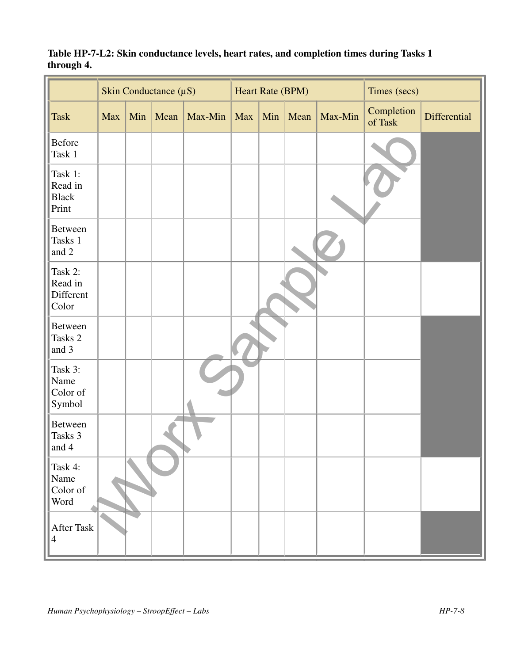|                                             | Skin Conductance $(\mu S)$ |     |      | Heart Rate (BPM) |             |     |      | Times (secs) |                       |              |
|---------------------------------------------|----------------------------|-----|------|------------------|-------------|-----|------|--------------|-----------------------|--------------|
| <b>Task</b>                                 | Max                        | Min | Mean | Max-Min          | $\vert$ Max | Min | Mean | Max-Min      | Completion<br>of Task | Differential |
| <b>Before</b><br>Task 1                     |                            |     |      |                  |             |     |      |              |                       |              |
| Task 1:<br>Read in<br><b>Black</b><br>Print |                            |     |      |                  |             |     |      |              |                       |              |
| <b>Between</b><br>Tasks 1<br>and 2          |                            |     |      |                  |             |     |      |              |                       |              |
| Task 2:<br>Read in<br>Different<br>Color    |                            |     |      |                  |             |     |      |              |                       |              |
| <b>Between</b><br>Tasks 2<br>and 3          |                            |     |      |                  |             |     |      |              |                       |              |
| Task 3:<br>Name<br>Color of<br>Symbol       |                            |     |      |                  |             |     |      |              |                       |              |
| <b>Between</b><br>Tasks 3<br>and 4          |                            |     |      |                  |             |     |      |              |                       |              |
| Task 4:<br>Name<br>Color of<br>Word         |                            |     |      |                  |             |     |      |              |                       |              |
| After Task<br>$\overline{4}$                |                            |     |      |                  |             |     |      |              |                       |              |

## **Table HP-7-L2: Skin conductance levels, heart rates, and completion times during Tasks 1 through 4.**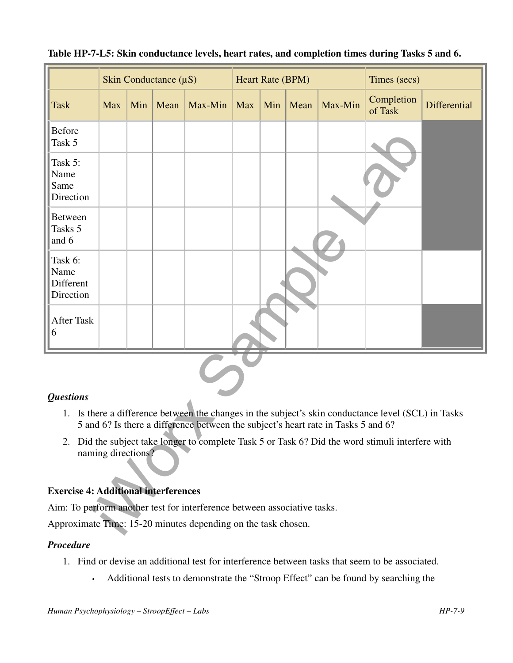|                                                                                                                                                                                          | Skin Conductance $(\mu S)$                  |     |      | Heart Rate (BPM) |            |     |      | Times (secs) |                       |              |
|------------------------------------------------------------------------------------------------------------------------------------------------------------------------------------------|---------------------------------------------|-----|------|------------------|------------|-----|------|--------------|-----------------------|--------------|
| <b>Task</b>                                                                                                                                                                              | <b>Max</b>                                  | Min | Mean | Max-Min          | <b>Max</b> | Min | Mean | Max-Min      | Completion<br>of Task | Differential |
| <b>Before</b><br>Task 5                                                                                                                                                                  |                                             |     |      |                  |            |     |      |              |                       |              |
| Task 5:<br>Name<br>Same<br>Direction                                                                                                                                                     |                                             |     |      |                  |            |     |      |              |                       |              |
| <b>Between</b><br>Tasks 5<br>and 6                                                                                                                                                       |                                             |     |      |                  |            |     |      |              |                       |              |
| Task 6:<br>Name<br>Different<br>Direction                                                                                                                                                |                                             |     |      |                  |            |     |      |              |                       |              |
| <b>After Task</b><br>6                                                                                                                                                                   |                                             |     |      |                  |            |     |      |              |                       |              |
|                                                                                                                                                                                          |                                             |     |      |                  |            |     |      |              |                       |              |
| <b>Questions</b>                                                                                                                                                                         |                                             |     |      |                  |            |     |      |              |                       |              |
| 1. Is there a difference between the changes in the subject's skin conductance level (SCL) in Tasks<br>5 and 6? Is there a difference between the subject's heart rate in Tasks 5 and 6? |                                             |     |      |                  |            |     |      |              |                       |              |
| 2. Did the subject take longer to complete Task 5 or Task 6? Did the word stimuli interfere with<br>naming directions?                                                                   |                                             |     |      |                  |            |     |      |              |                       |              |
|                                                                                                                                                                                          | <b>Exercise 4: Additional interferences</b> |     |      |                  |            |     |      |              |                       |              |
| Aim: To perform another test for interference between associative tasks.                                                                                                                 |                                             |     |      |                  |            |     |      |              |                       |              |
| Approximate Time: 15-20 minutes depending on the task chosen.                                                                                                                            |                                             |     |      |                  |            |     |      |              |                       |              |

## **Table HP-7-L5: Skin conductance levels, heart rates, and completion times during Tasks 5 and 6.**

## *Questions*

- 1. Is there a difference between the changes in the subject's skin conductance level (SCL) in Tasks 5 and 6? Is there a difference between the subject's heart rate in Tasks 5 and 6?
- 2. Did the subject take longer to complete Task 5 or Task 6? Did the word stimuli interfere with naming directions?

## **Exercise 4: Additional interferences**

#### *Procedure*

- 1. Find or devise an additional test for interference between tasks that seem to be associated.
	- Additional tests to demonstrate the "Stroop Effect" can be found by searching the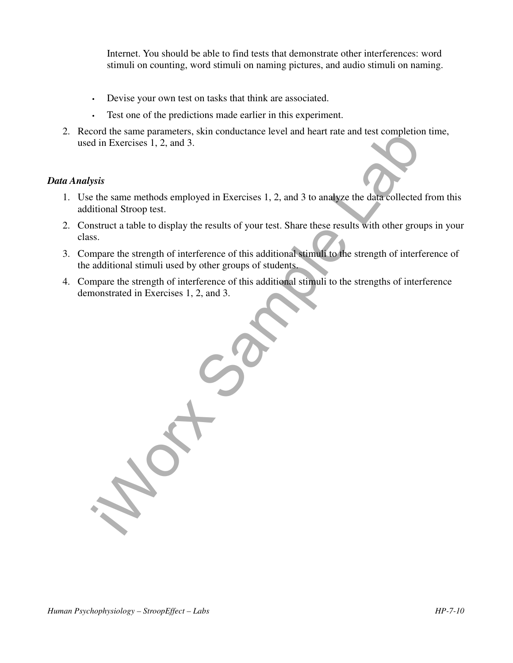Internet. You should be able to find tests that demonstrate other interferences: word stimuli on counting, word stimuli on naming pictures, and audio stimuli on naming.

- Devise your own test on tasks that think are associated.
- Test one of the predictions made earlier in this experiment.
- 2. Record the same parameters, skin conductance level and heart rate and test completion time, used in Exercises 1, 2, and 3.

### *Data Analysis*

- 1. Use the same methods employed in Exercises 1, 2, and 3 to analyze the data collected from this additional Stroop test.
- 2. Construct a table to display the results of your test. Share these results with other groups in your class.
- 3. Compare the strength of interference of this additional stimuli to the strength of interference of the additional stimuli used by other groups of students.
- 4. Compare the strength of interference of this additional stimuli to the strengths of interference demonstrated in Exercises 1, 2, and 3.

for the same parameters, skin conductance level and heart rate and test completion<br>of the Exercises 1, 2, and 3.<br>wisk<br>the same methods employed in Exercises 1, 2, and 3 to analyze the data collected<br>itional Stroop test.<br>th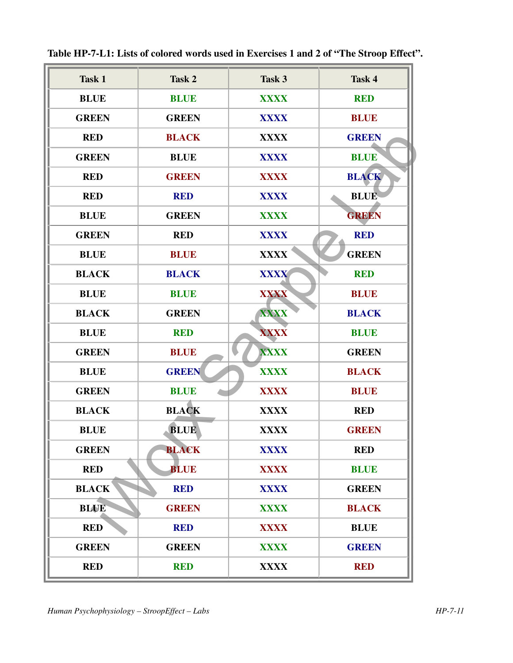| <b>Task 1</b> | Task 2       | Task 3      | Task 4       |
|---------------|--------------|-------------|--------------|
| <b>BLUE</b>   | <b>BLUE</b>  | <b>XXXX</b> | <b>RED</b>   |
| <b>GREEN</b>  | <b>GREEN</b> | <b>XXXX</b> | <b>BLUE</b>  |
| <b>RED</b>    | <b>BLACK</b> | <b>XXXX</b> | <b>GREEN</b> |
| <b>GREEN</b>  | <b>BLUE</b>  | <b>XXXX</b> | <b>BLUE</b>  |
| <b>RED</b>    | <b>GREEN</b> | <b>XXXX</b> | <b>BLACK</b> |
| <b>RED</b>    | <b>RED</b>   | <b>XXXX</b> | <b>BLUE</b>  |
| <b>BLUE</b>   | <b>GREEN</b> | <b>XXXX</b> | <b>GREEN</b> |
| <b>GREEN</b>  | <b>RED</b>   | <b>XXXX</b> | <b>RED</b>   |
| <b>BLUE</b>   | <b>BLUE</b>  | <b>XXXX</b> | <b>GREEN</b> |
| <b>BLACK</b>  | <b>BLACK</b> | <b>XXXX</b> | <b>RED</b>   |
| <b>BLUE</b>   | <b>BLUE</b>  | <b>XXXX</b> | <b>BLUE</b>  |
| <b>BLACK</b>  | <b>GREEN</b> | <b>XXXX</b> | <b>BLACK</b> |
| <b>BLUE</b>   | <b>RED</b>   | <b>XXXX</b> | <b>BLUE</b>  |
| <b>GREEN</b>  | <b>BLUE</b>  | <b>XXXX</b> | <b>GREEN</b> |
| <b>BLUE</b>   | <b>GREEN</b> | <b>XXXX</b> | <b>BLACK</b> |
| <b>GREEN</b>  | <b>BLUE</b>  | <b>XXXX</b> | <b>BLUE</b>  |
| <b>BLACK</b>  | <b>BLACK</b> | <b>XXXX</b> | <b>RED</b>   |
| <b>BLUE</b>   | <b>BLUE</b>  | <b>XXXX</b> | <b>GREEN</b> |
| <b>GREEN</b>  | <b>BLACK</b> | <b>XXXX</b> | <b>RED</b>   |
| <b>RED</b>    | <b>BLUE</b>  | <b>XXXX</b> | <b>BLUE</b>  |
| <b>BLACK</b>  | <b>RED</b>   | <b>XXXX</b> | <b>GREEN</b> |
| <b>BLUE</b>   | <b>GREEN</b> | <b>XXXX</b> | <b>BLACK</b> |
| <b>RED</b>    | <b>RED</b>   | <b>XXXX</b> | <b>BLUE</b>  |
| <b>GREEN</b>  | <b>GREEN</b> | <b>XXXX</b> | <b>GREEN</b> |
|               |              |             |              |

**Table HP-7-L1: Lists of colored words used in Exercises 1 and 2 of "The Stroop Effect".**